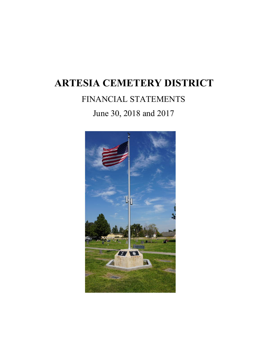# FINANCIAL STATEMENTS

# June 30, 2018 and 2017

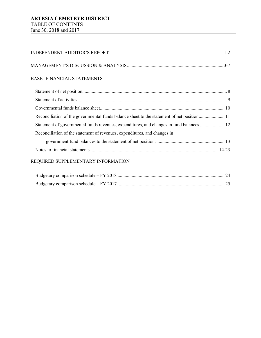# MANAGEMENT'S DISCUSSION & ANALYSIS..................................................................................3-7

## BASIC FINANCIAL STATEMENTS

| Reconciliation of the governmental funds balance sheet to the statement of net position 11 |  |
|--------------------------------------------------------------------------------------------|--|
| Statement of governmental funds revenues, expenditures, and changes in fund balances  12   |  |
| Reconciliation of the statement of revenues, expenditures, and changes in                  |  |
|                                                                                            |  |
|                                                                                            |  |
|                                                                                            |  |

# REQUIRED SUPPLEMENTARY INFORMATION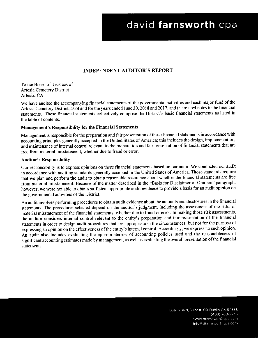# david farnsworth cpa

## **INDEPENDENT AUDITOR'S REPORT**

To the Board of Trustees of **Artesia Cemetery District** Artesia, CA

We have audited the accompanying financial statements of the governmental activities and each major fund of the Artesia Cemetery District, as of and for the years ended June 30, 2018 and 2017, and the related notes to the financial statements. These financial statements collectively comprise the District's basic financial statements as listed in the table of contents.

### **Management's Responsibility for the Financial Statements**

Management is responsible for the preparation and fair presentation of these financial statements in accordance with accounting principles generally accepted in the United States of America; this includes the design, implementation, and maintenance of internal control relevant to the preparation and fair presentation of financial statements that are free from material misstatement, whether due to fraud or error.

### **Auditor's Responsibility**

Our responsibility is to express opinions on these financial statements based on our audit. We conducted our audit in accordance with auditing standards generally accepted in the United States of America. Those standards require that we plan and perform the audit to obtain reasonable assurance about whether the financial statements are free from material misstatement. Because of the matter described in the "Basis for Disclaimer of Opinion" paragraph, however, we were not able to obtain sufficient appropriate audit evidence to provide a basis for an audit opinion on the governmental activities of the District.

An audit involves performing procedures to obtain audit evidence about the amounts and disclosures in the financial statements. The procedures selected depend on the auditor's judgment, including the assessment of the risks of material misstatement of the financial statements, whether due to fraud or error. In making those risk assessments, the auditor considers internal control relevant to the entity's preparation and fair presentation of the financial statements in order to design audit procedures that are appropriate in the circumstances, but not for the purpose of expressing an opinion on the effectiveness of the entity's internal control. Accordingly, we express no such opinion. An audit also includes evaluating the appropriateness of accounting policies used and the reasonableness of significant accounting estimates made by management, as well as evaluating the overall presentation of the financial statements.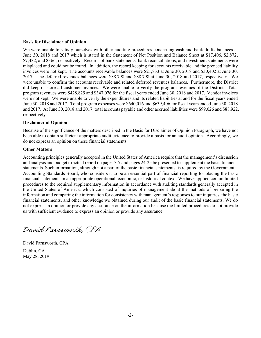### **Basis for Disclaimer of Opinion**

We were unable to satisfy ourselves with other auditing procedures concerning cash and bank drafts balances at June 30, 2018 and 2017 which is stated in the Statement of Net Position and Balance Sheet at \$17,406, \$2,872, \$7,432, and \$366, respectively. Records of bank statements, bank reconciliations, and investment statements were misplaced and could not be found. In addition, the record keeping for accounts receivable and the preneed liability invoices were not kept. The accounts receivable balances were \$21,833 at June 30, 2018 and \$30,402 at June 30, 2017. The deferred revenues balances were \$88,798 and \$88,798 at June 30, 2018 and 2017, respectively. We were unable to confirm the accounts receivable and related deferred revenues balances. Furthermore, the District did keep or store all customer invoices. We were unable to verify the program revenues of the District. Total program revenues were \$428,829 and \$347,076 for the fiscal years ended June 30, 2018 and 2017. Vendor invoices were not kept. We were unable to verify the expenditures and its related liabilities at and for the fiscal years ended June 30, 2018 and 2017. Total program expenses were \$640,016 and \$639,406 for fiscal years ended June 30, 2018 and 2017. At June 30, 2018 and 2017, total accounts payable and other accrued liabilities were \$99,026 and \$88,922, respectively.

### **Disclaimer of Opinion**

Because of the significance of the matters described in the Basis for Disclaimer of Opinion Paragraph, we have not been able to obtain sufficient appropriate audit evidence to provide a basis for an audit opinion. Accordingly, we do not express an opinion on these financial statements.

### **Other Matters**

Accounting principles generally accepted in the United States of America require that the management's discussion and analysis and budget to actual report on pages 3-7 and pages 24-25 be presented to supplement the basic financial statements. Such information, although not a part of the basic financial statements, is required by the Governmental Accounting Standards Board, who considers it to be an essential part of financial reporting for placing the basic financial statements in an appropriate operational, economic, or historical context. We have applied certain limited procedures to the required supplementary information in accordance with auditing standards generally accepted in the United States of America, which consisted of inquiries of management about the methods of preparing the information and comparing the information for consistency with management's responses to our inquiries, the basic financial statements, and other knowledge we obtained during our audit of the basic financial statements. We do not express an opinion or provide any assurance on the information because the limited procedures do not provide us with sufficient evidence to express an opinion or provide any assurance.

David Farnsworth, CDA

David Farnsworth, CPA Dublin, CA May 28, 2019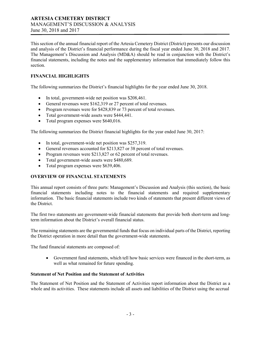This section of the annual financial report of the Artesia Cemetery District (District) presents our discussion and analysis of the District's financial performance during the fiscal year ended June 30, 2018 and 2017. The Management's Discussion and Analysis (MD&A) should be read in conjunction with the District's financial statements, including the notes and the supplementary information that immediately follow this section.

## **FINANCIAL HIGHLIGHTS**

The following summarizes the District's financial highlights for the year ended June 30, 2018.

- In total, government-wide net position was \$208,461.
- General revenues were \$162,319 or 27 percent of total revenues.
- Program revenues were for \$428,839 or 73 percent of total revenues.
- Total government-wide assets were \$444,441.
- Total program expenses were \$640,016.

The following summarizes the District financial highlights for the year ended June 30, 2017:

- In total, government-wide net position was \$257,319.
- General revenues accounted for \$213,827 or 38 percent of total revenues.
- Program revenues were \$213,827 or 62 percent of total revenues.
- Total government-wide assets were \$480,689.
- Total program expenses were \$639,406.

## **OVERVIEW OF FINANCIAL STATEMENTS**

This annual report consists of three parts: Management's Discussion and Analysis (this section), the basic financial statements including notes to the financial statements and required supplementary information. The basic financial statements include two kinds of statements that present different views of the District.

The first two statements are government-wide financial statements that provide both short-term and longterm information about the District's overall financial status.

The remaining statements are the governmental funds that focus on individual parts of the District, reporting the District operation in more detail than the government-wide statements.

The fund financial statements are composed of:

• Government fund statements, which tell how basic services were financed in the short-term, as well as what remained for future spending.

### **Statement of Net Position and the Statement of Activities**

The Statement of Net Position and the Statement of Activities report information about the District as a whole and its activities. These statements include all assets and liabilities of the District using the accrual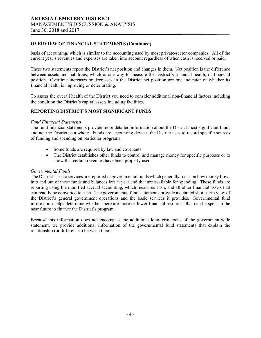### **OVERVIEW OF FINANCIAL STATEMENTS (Continued)**

basis of accounting, which is similar to the accounting used by most private-sector companies. All of the current year's revenues and expenses are taken into account regardless of when cash is received or paid.

These two statements report the District's net position and changes in them. Net position is the difference between assets and liabilities, which is one way to measure the District's financial health, or financial position. Overtime increases or decreases in the District net position are one indicator of whether its financial health is improving or deteriorating.

To assess the overall health of the District you need to consider additional non-financial factors including the condition the District's capital assets including facilities.

### **REPORTING DISTRICT'S MOST SIGNIFICANT FUNDS**

### *Fund Financial Statements*

The fund financial statements provide more detailed information about the District most significant funds and not the District as a whole. Funds are accounting devices the District uses to record specific sources of funding and spending on particular programs:

- Some funds are required by law and covenants.
- The District establishes other funds to control and manage money for specific purposes or to show that certain revenues have been properly used.

### *Governmental Funds*

The District's basic services are reported in governmental funds which generally focus on how money flows into and out of these funds and balances left at year end that are available for spending. These funds are reporting using the modified accrual accounting, which measures cash, and all other financial assets that can readily be converted to cash. The governmental fund statements provide a detailed short-term view of the District's general government operations and the basic services it provides. Governmental fund information helps determine whether there are more or fewer financial resources that can be spent in the near future to finance the District's program.

Because this information does not encompass the additional long-term focus of the government-wide statement, we provide additional information of the governmental fund statements that explain the relationship (or differences) between them.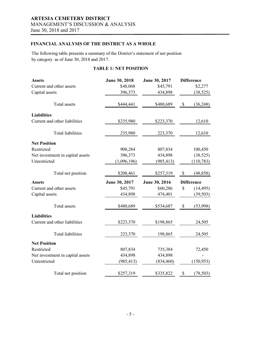### **FINANCIAL ANALYSIS OF THE DISTRICT AS A WHOLE**

The following table presents a summary of the District's statement of net position by category as of June 30, 2018 and 2017.

### **TABLE 1: NET POSITION**

| <b>Assets</b>                    | June 30, 2018 | June 30, 2017 | <b>Difference</b> |
|----------------------------------|---------------|---------------|-------------------|
| Current and other assets         | \$48,068      | \$45,791      | \$2,277           |
| Capital assets                   | 396,373       | 434,898       | (38, 525)         |
| <b>Total</b> assets              | \$444,441     | \$480,689     | \$<br>(36,248)    |
| <b>Liabilities</b>               |               |               |                   |
| Current and other liabilities    | \$235,980     | \$223,370     | 12,610            |
| <b>Total liabilities</b>         | 235,980       | 223,370       | 12,610            |
| <b>Net Position</b>              |               |               |                   |
| Restricted                       | 908,284       | 807,834       | 100,450           |
| Net investment in capital assets | 396,373       | 434,898       | (38, 525)         |
| Unrestricted                     | (1,096,196)   | (985, 413)    | (110, 783)        |
| Total net position               | \$208,461     | \$257,319     | \$<br>(48, 858)   |
| <b>Assets</b>                    | June 30, 2017 | June 30, 2016 | <b>Difference</b> |
| Current and other assets         | \$45,791      | \$60,286      | \$<br>(14, 495)   |
| Capital assets                   | 434,898       | 474,401       | (39, 503)         |
|                                  |               |               |                   |
| <b>Total</b> assets              | \$480,689     | \$534,687     | \$<br>(53,998)    |
| <b>Liabilities</b>               |               |               |                   |
| Current and other liabilities    | \$223,370     | \$198,865     | 24,505            |
| <b>Total liabilities</b>         | 223,370       | 198,865       | 24,505            |
| <b>Net Position</b>              |               |               |                   |
| Restricted                       | 807,834       | 735,384       | 72,450            |
| Net investment in capital assets | 434,898       | 434,898       |                   |
| Unrestricted                     | (985, 413)    | (834, 460)    | (150, 953)        |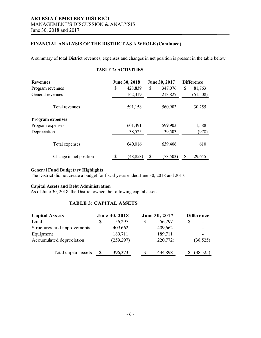### **FINANCIAL ANALYSIS OF THE DISTRICT AS A WHOLE (Continued)**

A summary of total District revenues, expenses and changes in net position is present in the table below.

# **Revenues June 30, 2018 June 30, 2017 Difference** Program revenues \$ 428,839 \$ 347,076 \$ 81,763 General revenues 162,319 213,827 (51,508) Total revenues 591,158 560,903 30,255 **Program expenses** Program expenses 601,491 599,903 1,588 Depreciation 38,525 39,503 (978) Total expenses 640,016 639,406 610 Change in net position \$ (48,858) \$ (78,503) \$ 29,645

**TABLE 2: ACTIVITIES**

### **General Fund Budgetary Highlights**

The District did not create a budget for fiscal years ended June 30, 2018 and 2017.

### **Capital Assets and Debt Administration**

As of June 30, 2018, the District owned the following capital assets:

### **TABLE 3: CAPITAL ASSETS**

| <b>Capital Assets</b>       |   | June 30, 2018 | June 30, 2017 | <b>Difference</b> |
|-----------------------------|---|---------------|---------------|-------------------|
| Land                        | S | 56,297        | 56,297        |                   |
| Structures and improvements |   | 409,662       | 409,662       |                   |
| Equipment                   |   | 189,711       | 189,711       |                   |
| Accumulated depreciation    |   | (259,297)     | (220,772)     | (38, 525)         |
| Total capital assets        |   | 396,373       | 434,898       | (38, 525)         |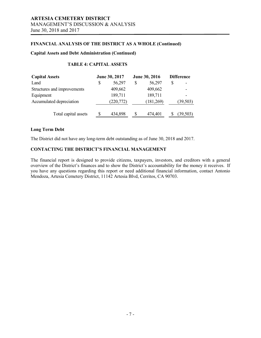### **FINANCIAL ANALYSIS OF THE DISTRICT AS A WHOLE (Continued)**

### **Capital Assets and Debt Administration (Continued)**

### **TABLE 4: CAPITAL ASSETS**

| <b>Capital Assets</b>       | June 30, 2017 |          | June 30, 2016 | <b>Difference</b> |
|-----------------------------|---------------|----------|---------------|-------------------|
| Land                        | 56,297        | S        | 56,297        | \$                |
| Structures and improvements | 409,662       |          | 409,662       |                   |
| Equipment                   | 189,711       |          | 189,711       |                   |
| Accumulated depreciation    | (220, 772)    |          | (181,269)     | (39, 503)         |
| Total capital assets        | 434,898       | <b>S</b> | 474,401       | (39, 503)         |

### **Long Term Debt**

The District did not have any long-term debt outstanding as of June 30, 2018 and 2017.

### **CONTACTING THE DISTRICT'S FINANCIAL MANAGEMENT**

The financial report is designed to provide citizens, taxpayers, investors, and creditors with a general overview of the District's finances and to show the District's accountability for the money it receives. If you have any questions regarding this report or need additional financial information, contact Antonio Mendoza, Artesia Cemetery District, 11142 Artesia Blvd, Cerritos, CA 90703.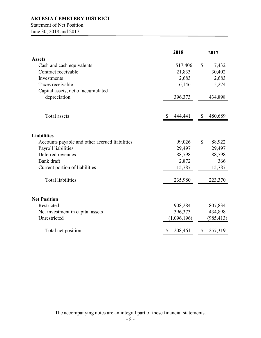Statement of Net Position

June 30, 2018 and 2017

|                                                | 2018          |              | 2017       |
|------------------------------------------------|---------------|--------------|------------|
| <b>Assets</b>                                  |               |              |            |
| Cash and cash equivalents                      | \$17,406      | $\mathbb{S}$ | 7,432      |
| Contract receivable                            | 21,833        |              | 30,402     |
| Investments                                    | 2,683         |              | 2,683      |
| Taxes receivable                               | 6,146         |              | 5,274      |
| Capital assets, net of accumulated             |               |              |            |
| depreciation                                   | 396,373       |              | 434,898    |
| Total assets                                   | 444,441<br>S. | \$           | 480,689    |
|                                                |               |              |            |
| <b>Liabilities</b>                             |               |              |            |
| Accounts payable and other accrued liabilities | 99,026        | $\mathbb{S}$ | 88,922     |
| Payroll liabilities                            | 29,497        |              | 29,497     |
| Deferred revenues                              | 88,798        |              | 88,798     |
| Bank draft                                     | 2,872         |              | 366        |
| Current portion of liabilities                 | 15,787        |              | 15,787     |
| <b>Total liabilities</b>                       | 235,980       |              | 223,370    |
| <b>Net Position</b>                            |               |              |            |
| Restricted                                     | 908,284       |              | 807,834    |
| Net investment in capital assets               | 396,373       |              | 434,898    |
| Unrestricted                                   | (1,096,196)   |              | (985, 413) |
| Total net position                             | \$<br>208,461 | \$           | 257,319    |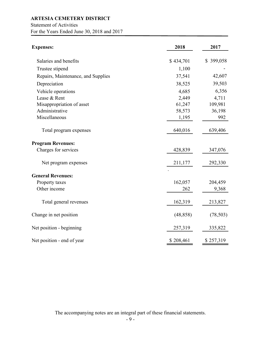Statement of Activities

For the Years Ended June 30, 2018 and 2017

| <b>Expenses:</b>                   | 2018      | 2017      |
|------------------------------------|-----------|-----------|
| Salaries and benefits              | \$434,701 | \$399,058 |
| Trustee stipend                    | 1,100     |           |
| Repairs, Maintenance, and Supplies | 37,541    | 42,607    |
| Depreciation                       | 38,525    | 39,503    |
| Vehicle operations                 | 4,685     | 6,356     |
| Lease & Rent                       | 2,449     | 4,711     |
| Misappropriation of asset          | 61,247    | 109,981   |
| Administrative                     | 58,573    | 36,198    |
| Miscellaneous                      | 1,195     | 992       |
| Total program expenses             | 640,016   | 639,406   |
| <b>Program Revenues:</b>           |           |           |
| Charges for services               | 428,839   | 347,076   |
| Net program expenses               | 211,177   | 292,330   |
| <b>General Revenues:</b>           |           |           |
| Property taxes                     | 162,057   | 204,459   |
| Other income                       | 262       | 9,368     |
| Total general revenues             | 162,319   | 213,827   |
| Change in net position             | (48, 858) | (78, 503) |
| Net position - beginning           | 257,319   | 335,822   |
| Net position - end of year         | \$208,461 | \$257,319 |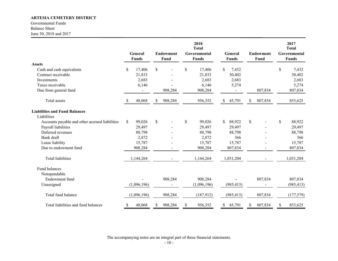Governmental Funds Balance Sheet June 30, 2018 and 2017

|                                                |    | General<br><b>Funds</b> |     | <b>Endowment</b><br>Fund | 2018<br><b>Total</b><br>Governmental<br><b>Funds</b> |    | General<br><b>Funds</b> |              | <b>Endowment</b><br>Fund | 2017<br><b>Total</b><br>Governmental<br><b>Funds</b> |
|------------------------------------------------|----|-------------------------|-----|--------------------------|------------------------------------------------------|----|-------------------------|--------------|--------------------------|------------------------------------------------------|
| <b>Assets</b>                                  |    |                         |     |                          |                                                      |    |                         |              |                          |                                                      |
| Cash and cash equivalents                      | \$ | 17,406                  | \$  |                          | \$<br>17,406                                         | \$ | 7,432                   |              |                          | \$<br>7,432                                          |
| Contract receivable                            |    | 21,833                  |     |                          | 21,833                                               |    | 30,402                  |              |                          | 30,402                                               |
| Investments                                    |    | 2,683                   |     |                          | 2,683                                                |    | 2,683                   |              |                          | 2,683                                                |
| Taxes receivable                               |    | 6,146                   |     |                          | 6,146                                                |    | 5,274                   |              |                          | 5,274                                                |
| Due from general fund                          |    |                         |     | 908,284                  | 908,284                                              |    |                         |              | 807,834                  | 807,834                                              |
| Total assets                                   | -S | 48,068                  | \$. | 908,284                  | 956,352                                              | S. | 45,791                  | \$           | 807,834                  | 853,625                                              |
| <b>Liabilities and Fund Balances</b>           |    |                         |     |                          |                                                      |    |                         |              |                          |                                                      |
| Liabilities                                    |    |                         |     |                          |                                                      |    |                         |              |                          |                                                      |
| Accounts payable and other accrued liabilities | \$ | 99,026                  | \$  |                          | \$<br>99,026                                         | \$ | 88,922                  | $\mathbb{S}$ |                          | \$<br>88,922                                         |
| Payroll liabilities                            |    | 29,497                  |     |                          | 29,497                                               |    | 29,497                  |              |                          | 29,497                                               |
| Deferred revenues                              |    | 88,798                  |     |                          | 88,798                                               |    | 88,798                  |              |                          | 88,798                                               |
| Bank draft                                     |    | 2,872                   |     |                          | 2,872                                                |    | 366                     |              |                          | 366                                                  |
| Lease liability                                |    | 15,787                  |     |                          | 15,787                                               |    | 15,787                  |              |                          | 15,787                                               |
| Due to endowment fund                          |    | 908,284                 |     |                          | 908,284                                              |    | 807,834                 |              |                          | 807,834                                              |
| <b>Total liabilities</b>                       |    | 1,144,264               |     |                          | 1,144,264                                            |    | 1,031,204               |              |                          | 1,031,204                                            |
| Fund balances                                  |    |                         |     |                          |                                                      |    |                         |              |                          |                                                      |
| Nonspendable                                   |    |                         |     |                          |                                                      |    |                         |              |                          |                                                      |
| Endowment fund                                 |    |                         |     | 908,284                  | 908,284                                              |    |                         |              | 807,834                  | 807,834                                              |
| Unassigned                                     |    | (1,096,196)             |     |                          | (1,096,196)                                          |    | (985, 413)              |              |                          | (985, 413)                                           |
| Total fund balance                             |    | (1,096,196)             |     | 908,284                  | (187, 912)                                           |    | (985, 413)              |              | 807,834                  | (177, 579)                                           |
| Total liabilities and fund balances            | \$ | 48,068                  | \$  | 908,284                  | \$<br>956,352                                        | \$ | 45,791                  | \$           | 807,834                  | \$<br>853,625                                        |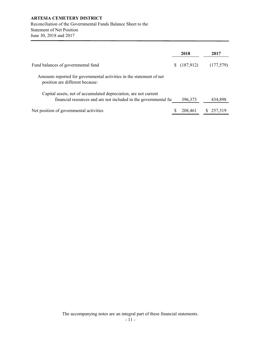Reconciliation of the Governmental Funds Balance Sheet to the  Statement of Net Position June 30, 2018 and 2017

|                                                                                                                                     | 2018        |    | 2017      |
|-------------------------------------------------------------------------------------------------------------------------------------|-------------|----|-----------|
| Fund balances of governmental fund                                                                                                  | \$(187,912) |    | (177,579) |
| Amounts reported for governmental activities in the statement of net<br>position are different because:                             |             |    |           |
| Capital assets, net of accumulated depreciation, are not current<br>financial resources and are not included in the governmental fu | 396,373     |    | 434,898   |
| Net position of governmental activities                                                                                             | 208,461     | S. | 257,319   |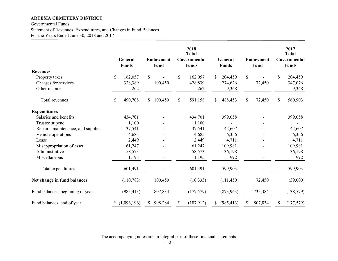Governmental Funds Statement of Revenues, Expenditures, and Changes in Fund Balances For the Years Ended June 30, 2018 and 2017

|                                    |              | General<br><b>Funds</b> |              | <b>Endowment</b><br>Fund | 2018<br><b>Total</b><br>Governmental<br><b>Funds</b> |    | General<br><b>Funds</b> |    | <b>Endowment</b><br>Fund | 2017<br><b>Total</b><br>Governmental<br><b>Funds</b> |
|------------------------------------|--------------|-------------------------|--------------|--------------------------|------------------------------------------------------|----|-------------------------|----|--------------------------|------------------------------------------------------|
| <b>Revenues</b>                    |              |                         |              |                          |                                                      |    |                         |    |                          |                                                      |
| Property taxes                     | \$           | 162,057                 | $\mathbb{S}$ |                          | \$<br>162,057                                        | S. | 204,459                 | \$ |                          | \$<br>204,459                                        |
| Charges for services               |              | 328,389                 |              | 100,450                  | 428,839                                              |    | 274,626                 |    | 72,450                   | 347,076                                              |
| Other income                       |              | 262                     |              |                          | 262                                                  |    | 9,368                   |    |                          | 9,368                                                |
| Total revenues                     | <sup>S</sup> | 490,708                 | \$           | 100,450                  | \$<br>591,158                                        | \$ | 488,453                 | \$ | 72,450                   | \$<br>560,903                                        |
| <b>Expenditures</b>                |              |                         |              |                          |                                                      |    |                         |    |                          |                                                      |
| Salaries and benefits              |              | 434,701                 |              |                          | 434,701                                              |    | 399,058                 |    |                          | 399,058                                              |
| Trustee stipend                    |              | 1,100                   |              |                          | 1,100                                                |    |                         |    |                          |                                                      |
| Repairs, maintenance, and supplies |              | 37,541                  |              |                          | 37,541                                               |    | 42,607                  |    |                          | 42,607                                               |
| Vehicle operations                 |              | 4,685                   |              |                          | 4,685                                                |    | 6,356                   |    |                          | 6,356                                                |
| Lease                              |              | 2,449                   |              |                          | 2,449                                                |    | 4,711                   |    |                          | 4,711                                                |
| Misappropriation of asset          |              | 61,247                  |              |                          | 61,247                                               |    | 109,981                 |    |                          | 109,981                                              |
| Administrative                     |              | 58,573                  |              |                          | 58,573                                               |    | 36,198                  |    |                          | 36,198                                               |
| Miscellaneous                      |              | 1,195                   |              |                          | 1,195                                                |    | 992                     |    |                          | 992                                                  |
| Total expenditures                 |              | 601,491                 |              |                          | 601,491                                              |    | 599,903                 |    |                          | 599,903                                              |
| Net change in fund balances        |              | (110, 783)              |              | 100,450                  | (10, 333)                                            |    | (111, 450)              |    | 72,450                   | (39,000)                                             |
| Fund balances, beginning of year   |              | (985, 413)              |              | 807,834                  | (177, 579)                                           |    | (873,963)               |    | 735,384                  | (138, 579)                                           |
| Fund balances, end of year         |              | (1,096,196)             | \$           | 908,284                  | \$<br>(187,912)                                      | \$ | (985, 413)              | \$ | 807,834                  | \$<br>(177, 579)                                     |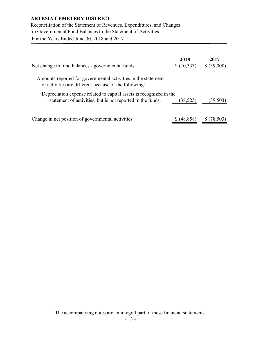Reconciliation of the Statement of Revenues, Expenditures, and Changes in Governmental Fund Balances to the Statement of Activities For the Years Ended June 30, 2018 and 2017

| Net change in fund balances - governmental funds                                                                                  | 2018<br>\$(10,333) | 2017<br>\$ (39,000) |
|-----------------------------------------------------------------------------------------------------------------------------------|--------------------|---------------------|
| Amounts reported for governmental activities in the statement<br>of activities are different because of the following:            |                    |                     |
| Depreciation expense related to capital assets is recognized in the<br>statement of activities, but is not reported in the funds. | (38, 525)          | (39,503)            |
| Change in net position of governmental activities                                                                                 | (48, 858)          | (78, 503)           |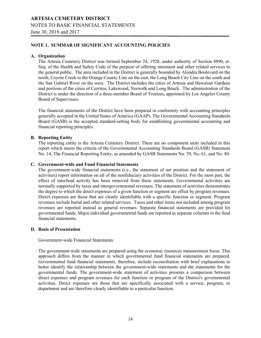# **ARTESIA CEMETERY DISTRICT** NOTES TO BASIC FINANCIAL STATEMENTS June 30, 2018 and 2017

### **NOTE 1. SUMMAR OF SIGNIFICANT ACCOUNTING POLICIES**

### **A. Organization**

The Artesia Cemetery District was formed September 24, 1928, under authority of Section 8890, et. Seq. of the Health and Safety Code of the purpose of offering interment and other related services to the general public. The area included in the District is generally bounded by Alondra Boulevard on the north, Coyote Creek to the Orange County Line on the east, the Long Beach City Line on the south and the San Gabriel River on the west. The District includes the cities of Artesia and Hawaiian Gardens and portions of the cities of Cerritos, Lakewood, Norwalk and Long Beach. The administration of the District is under the direction of a three-member Board of Trustees, appointed by Los Angeles County Board of Supervisors.

The financial statements of the District have been prepared in conformity with accounting principles generally accepted in the United States of America (GAAP). The Governmental Accounting Standards Board (GASB) is the accepted standard-setting body for establishing governmental accounting and financial reporting principles.

### **B. Reporting Entity**

The reporting entity is the Artesia Cemetery District. There are no component units included in this report which meets the criteria of the Governmental Accounting Standards Board (GASB) Statement No. 14, The Financial Reporting Entity, as amended by GASB Statements No. 39, No. 61, and No. 80.

### **C. Government-wide and Fund Financial Statements**

The government-wide financial statements (i.e., the statement of net position and the statement of activities) report information on all of the nonfiduciary activities of the District. For the most part, the effect of interfund activity has been removed from these statements. Governmental activities are normally supported by taxes and intergovernmental revenues. The statement of activities demonstrates the degree to which the direct expenses of a given function or segment are offset by program revenues. Direct expenses are those that are clearly identifiable with a specific function or segment. Program revenues include burial and other related services. Taxes and other items not included among program revenues are reported instead as general revenues. Separate financial statements are provided for governmental funds. Major individual governmental funds are reported as separate columns in the fund financial statements.

### **D. Basis of Presentation**

Government-wide Financial Statements:

The government-wide statements are prepared using the economic resources measurement focus. This approach differs from the manner in which governmental fund financial statements are prepared. Governmental fund financial statements, therefore, include reconciliation with brief explanations to better identify the relationship between the government-wide statements and the statements for the governmental funds. The government-wide statement of activities presents a comparison between direct expenses and program revenues for each function or program of the District's governmental activities. Direct expenses are those that are specifically associated with a service, program, or department and are therefore clearly identifiable to a particular function.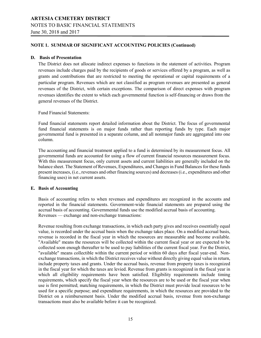# **ARTESIA CEMETERY DISTRICT** NOTES TO BASIC FINANCIAL STATEMENTS

June 30, 2018 and 2017

### **NOTE 1. SUMMAR OF SIGNIFICANT ACCOUNTING POLICIES (Continued)**

### **D. Basis of Presentation**

The District does not allocate indirect expenses to functions in the statement of activities. Program revenues include charges paid by the recipients of goods or services offered by a program, as well as grants and contributions that are restricted to meeting the operational or capital requirements of a particular program. Revenues which are not classified as program revenues are presented as general revenues of the District, with certain exceptions. The comparison of direct expenses with program revenues identifies the extent to which each governmental function is self-financing or draws from the general revenues of the District.

Fund Financial Statements:

Fund financial statements report detailed information about the District. The focus of governmental fund financial statements is on major funds rather than reporting funds by type. Each major governmental fund is presented in a separate column, and all nonmajor funds are aggregated into one column.

The accounting and financial treatment applied to a fund is determined by its measurement focus. All governmental funds are accounted for using a flow of current financial resources measurement focus. With this measurement focus, only current assets and current liabilities are generally included on the balance sheet. The Statement of Revenues, Expenditures, and Changes in Fund Balances for these funds present increases, (i.e., revenues and other financing sources) and decreases (i.e., expenditures and other financing uses) in net current assets.

### **E. Basis of Accounting**

Basis of accounting refers to when revenues and expenditures are recognized in the accounts and reported in the financial statements. Government-wide financial statements are prepared using the accrual basis of accounting. Governmental funds use the modified accrual basis of accounting. Revenues — exchange and non-exchange transactions:

Revenue resulting from exchange transactions, in which each party gives and receives essentially equal value, is recorded under the accrual basis when the exchange takes place. On a modified accrual basis, revenue is recorded in the fiscal year in which the resources are measurable and become available. "Available" means the resources will be collected within the current fiscal year or are expected to be collected soon enough thereafter to be used to pay liabilities of the current fiscal year. For the District, "available" means collectible within the current period or within 60 days after fiscal year-end. Nonexchange transactions, in which the District receives value without directly giving equal value in return, include property taxes and grants. Under the accrual basis, revenue from property taxes is recognized in the fiscal year for which the taxes are levied. Revenue from grants is recognized in the fiscal year in which all eligibility requirements have been satisfied. Eligibility requirements include timing requirements, which specify the fiscal year when the resources are to be used or the fiscal year when use is first permitted; matching requirements, in which the District must provide local resources to be used for a specific purpose; and expenditure requirements, in which the resources are provided to the District on a reimbursement basis. Under the modified accrual basis, revenue from non-exchange transactions must also be available before it can be recognized.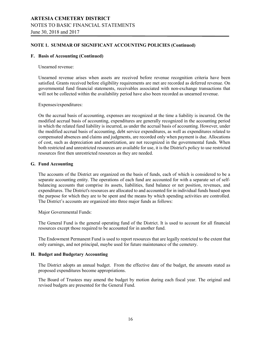# **ARTESIA CEMETERY DISTRICT** NOTES TO BASIC FINANCIAL STATEMENTS June 30, 2018 and 2017

### **NOTE 1. SUMMAR OF SIGNIFICANT ACCOUNTING POLICIES (Continued)**

### **F. Basis of Accounting (Continued)**

#### Unearned revenue:

Unearned revenue arises when assets are received before revenue recognition criteria have been satisfied. Grants received before eligibility requirements are met are recorded as deferred revenue. On governmental fund financial statements, receivables associated with non-exchange transactions that will not be collected within the availability period have also been recorded as unearned revenue.

Expenses/expenditures:

On the accrual basis of accounting, expenses are recognized at the time a liability is incurred. On the modified accrual basis of accounting, expenditures are generally recognized in the accounting period in which the related fund liability is incurred, as under the accrual basis of accounting. However, under the modified accrual basis of accounting, debt service expenditures, as well as expenditures related to compensated absences and claims and judgments, are recorded only when payment is due. Allocations of cost, such as depreciation and amortization, are not recognized in the governmental funds. When both restricted and unrestricted resources are available for use, it is the District's policy to use restricted resources first then unrestricted resources as they are needed.

### **G. Fund Accounting**

The accounts of the District are organized on the basis of funds, each of which is considered to be a separate accounting entity. The operations of each fund are accounted for with a separate set of selfbalancing accounts that comprise its assets, liabilities, fund balance or net position, revenues, and expenditures. The District's resources are allocated to and accounted for in individual funds based upon the purpose for which they are to be spent and the means by which spending activities are controlled. The District's accounts are organized into three major funds as follows:

Major Governmental Funds:

The General Fund is the general operating fund of the District. It is used to account for all financial resources except those required to be accounted for in another fund.

The Endowment Permanent Fund is used to report resources that are legally restricted to the extent that only earnings, and not principal, maybe used for future maintenance of the cemetery.

### **H. Budget and Budgetary Accounting**

The District adopts an annual budget. From the effective date of the budget, the amounts stated as proposed expenditures become appropriations.

The Board of Trustees may amend the budget by motion during each fiscal year. The original and revised budgets are presented for the General Fund.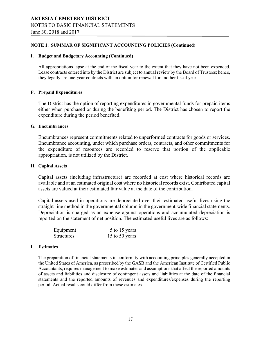### **NOTE 1. SUMMAR OF SIGNIFICANT ACCOUNTING POLICIES (Continued)**

### **I. Budget and Budgetary Accounting (Continued)**

All appropriations lapse at the end of the fiscal year to the extent that they have not been expended. Lease contracts entered into by the District are subject to annual review by the Board of Trustees; hence, they legally are one-year contracts with an option for renewal for another fiscal year.

### **F. Prepaid Expenditures**

The District has the option of reporting expenditures in governmental funds for prepaid items either when purchased or during the benefiting period. The District has chosen to report the expenditure during the period benefited.

### **G. Encumbrances**

Encumbrances represent commitments related to unperformed contracts for goods or services. Encumbrance accounting, under which purchase orders, contracts, and other commitments for the expenditure of resources are recorded to reserve that portion of the applicable appropriation, is not utilized by the District.

### **H. Capital Assets**

Capital assets (including infrastructure) are recorded at cost where historical records are available and at an estimated original cost where no historical records exist. Contributed capital assets are valued at their estimated fair value at the date of the contribution.

Capital assets used in operations are depreciated over their estimated useful lives using the straight-line method in the governmental column in the government-wide financial statements. Depreciation is charged as an expense against operations and accumulated depreciation is reported on the statement of net position. The estimated useful lives are as follows:

| Equipment         | 5 to 15 years  |
|-------------------|----------------|
| <b>Structures</b> | 15 to 50 years |

### **I. Estimates**

The preparation of financial statements in conformity with accounting principles generally accepted in the United States of America, as prescribed by the GASB and the American Institute of Certified Public Accountants, requires management to make estimates and assumptions that affect the reported amounts of assets and liabilities and disclosure of contingent assets and liabilities at the date of the financial statements and the reported amounts of revenues and expenditures/expenses during the reporting period. Actual results could differ from those estimates.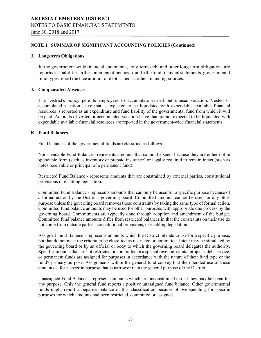### **NOTE 1. SUMMAR OF SIGNIFICANT ACCOUNTING POLICIES (Continued)**

### **J. Long-term Obligations**

In the government-wide financial statements, long-term debt and other long-term obligations are reported as liabilities in the statement of net position. In the fund financial statements, governmental fund types report the face amount of debt issued as other financing sources.

### **J. Compensated Absences**

The District's policy permits employees to accumulate earned but unused vacation. Vested or accumulated vacation leave that is expected to be liquidated with expendable available financial resources is reported as an expenditure and fund liability of the governmental fund from which it will be paid. Amounts of vested or accumulated vacation leave that are not expected to be liquidated with expendable available financial resources are reported in the government-wide financial statements.

### **K. Fund Balances**

Fund balances of the governmental funds are classified as follows:

Nonspendable Fund Balance - represents amounts that cannot be spent because they are either not in spendable form (such as inventory or prepaid insurance) or legally required to remain intact (such as notes receivable or principal of a permanent fund).

Restricted Fund Balance - represents amounts that are constrained by external parties, constitutional provisions or enabling legislation.

Committed Fund Balance - represents amounts that can only be used for a specific purpose because of a formal action by the District's governing board. Committed amounts cannot be used for any other purpose unless the governing board removes those constraints by taking the same type of formal action. Committed fund balance amounts may be used for other purposes with appropriate due process by the governing board. Commitments are typically done through adoption and amendment of the budget. Committed fund balance amounts differ from restricted balances in that the constraints on their use do not come from outside parties, constitutional provisions, or enabling legislation.

Assigned Fund Balance - represents amounts which the District intends to use for a specific purpose, but that do not meet the criteria to be classified as restricted or committed. Intent may be stipulated by the governing board or by an official or body to which the governing board delegates the authority. Specific amounts that are not restricted or committed in a special revenue, capital projects, debt service, or permanent funds are assigned for purposes in accordance with the nature of their fund type or the fund's primary purpose. Assignments within the general fund convey that the intended use of those amounts is for a specific purpose that is narrower than the general purpose of the District.

Unassigned Fund Balance - represents amounts which are unconstrained in that they may be spent for any purpose. Only the general fund reports a positive unassigned fund balance. Other governmental funds might report a negative balance in this classification because of overspending for specific purposes for which amounts had been restricted, committed or assigned.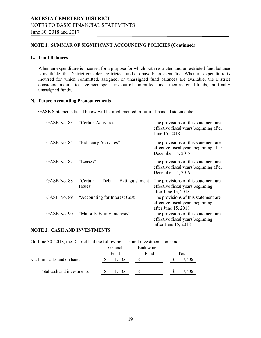### **NOTE 1. SUMMAR OF SIGNIFICANT ACCOUNTING POLICIES (Continued)**

### **L. Fund Balances**

When an expenditure is incurred for a purpose for which both restricted and unrestricted fund balance is available, the District considers restricted funds to have been spent first. When an expenditure is incurred for which committed, assigned, or unassigned fund balances are available, the District considers amounts to have been spent first out of committed funds, then assigned funds, and finally unassigned funds.

### **N. Future Accounting Pronouncements**

GASB Statements listed below will be implemented in future financial statements:

| GASB No. 83 | "Certain Activities"                          | The provisions of this statement are<br>effective fiscal years beginning after<br>June 15, 2018      |
|-------------|-----------------------------------------------|------------------------------------------------------------------------------------------------------|
| GASB No. 84 | "Fiduciary Activates"                         | The provisions of this statement are<br>effective fiscal years beginning after<br>December 15, 2018  |
| GASB No. 87 | "Leases"                                      | The provisions of this statement are.<br>effective fiscal years beginning after<br>December 15, 2019 |
| GASB No. 88 | Extinguishment<br>"Certain<br>Debt<br>Issues" | The provisions of this statement are<br>effective fiscal years beginning<br>after June 15, 2018      |
| GASB No. 89 | "Accounting for Interest Cost"                | The provisions of this statement are.<br>effective fiscal years beginning<br>after June 15, 2018     |
| GASB No. 90 | "Majority Equity Interests"                   | The provisions of this statement are<br>effective fiscal years beginning<br>after June 15, 2018      |

### **NOTE 2. CASH AND INVESTMENTS**

On June 30, 2018, the District had the following cash and investments on hand:

|                            | General |        | Endowment |       |
|----------------------------|---------|--------|-----------|-------|
|                            | Fund    |        | Fund      | Total |
| Cash in banks and on hand  |         | 17.406 |           |       |
|                            |         |        |           |       |
| Total cash and investments |         | 17.406 |           | .406  |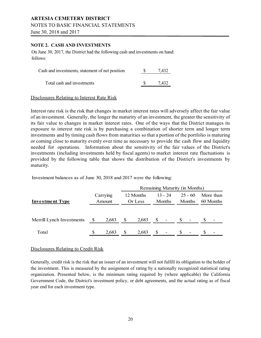# **ARTESIA CEMETERY DISTRICT** NOTES TO BASIC FINANCIAL STATEMENTS

June 30, 2018 and 2017

### **NOTE 2. CASH AND INVESTMENTS**

On June 30, 2017, the District had the following cash and investments on hand: follows:

| Cash and investments, statement of net position | 7.432 |
|-------------------------------------------------|-------|
| Total cash and investments                      | 7.432 |

### Disclosures Relating to Interest Rate Risk

Interest rate risk is the risk that changes in market interest rates will adversely affect the fair value of an investment. Generally, the longer the maturity of an investment, the greater the sensitivity of its fair value to changes in market interest rates. One of the ways that the District manages its exposure to interest rate risk is by purchasing a combination of shorter term and longer term investments and by timing cash flows from maturities so that a portion of the portfolio is maturing or coming close to maturity evenly over time as necessary to provide the cash flow and liquidity needed for operations. Information about the sensitivity of the fair values of the District's investments (including investments held by fiscal agents) to market interest rate fluctuations is provided by the following table that shows the distribution of the District's investments by maturity.

Investment balances as of June 30, 2018 and 2017 were the following:

|                           |                    | Remaining Maturity (in Months) |                      |       |                            |                          |                     |                          |                        |                          |  |
|---------------------------|--------------------|--------------------------------|----------------------|-------|----------------------------|--------------------------|---------------------|--------------------------|------------------------|--------------------------|--|
| <b>Investment Type</b>    | Carrying<br>Amount |                                | 12 Months<br>Or Less |       | $13 - 24$<br><b>Months</b> |                          | $25 - 60$<br>Months |                          | More than<br>60 Months |                          |  |
| Merrill Lynch Investments |                    | 2,683                          | \$                   | 2,683 | <sup>S</sup>               | $\overline{\phantom{a}}$ | -S                  | -                        |                        | $\overline{\phantom{a}}$ |  |
| Total                     | \$                 | 2.683                          | S                    | 2,683 |                            | $\overline{\phantom{0}}$ | S                   | $\overline{\phantom{0}}$ |                        | $\overline{\phantom{0}}$ |  |

### Disclosures Relating to Credit Risk

Generally, credit risk is the risk that an issuer of an investment will not fulfill its obligation to the holder of the investment. This is measured by the assignment of rating by a nationally recognized statistical rating organization. Presented below, is the minimum rating required by (where applicable) the California Government Code, the District's investment policy, or debt agreements, and the actual rating as of fiscal year end for each investment type.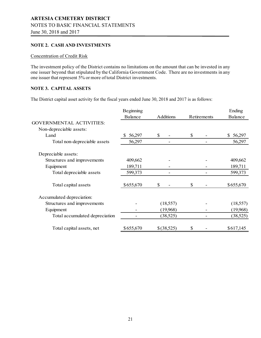### **NOTE 2. CASH AND INVESTMENTS**

### Concentration of Credit Risk

The investment policy of the District contains no limitations on the amount that can be invested in any one issuer beyond that stipulated by the California Government Code. There are no investments in any one issuer that represent 5% or more oftotal District investments.

### **NOTE 3. CAPITAL ASSETS**

The District capital asset activity for the fiscal years ended June 30, 2018 and 2017 is as follows:

|                                 | Beginning      |                  |             | Ending        |
|---------------------------------|----------------|------------------|-------------|---------------|
|                                 | <b>Balance</b> | <b>Additions</b> | Retirements | Balance       |
| <b>GOVERNMENTAL ACTIVITIES:</b> |                |                  |             |               |
| Non-depreciable assets:         |                |                  |             |               |
| Land                            | 56,297         | $\mathbb{S}$     | \$          | 56,297<br>\$. |
| Total non-depreciable assets    | 56,297         |                  |             | 56,297        |
| Depreciable assets:             |                |                  |             |               |
| Structures and improvements     | 409,662        |                  |             | 409,662       |
| Equipment                       | 189,711        |                  |             | 189,711       |
| Total depreciable assets        | 599,373        |                  |             | 599,373       |
| Total capital assets            | \$655,670      | \$               | S           | \$655,670     |
| Accumulated depreciation:       |                |                  |             |               |
| Structures and improvements     |                | (18, 557)        |             | (18, 557)     |
| Equipment                       |                | (19,968)         |             | (19,968)      |
| Total accumulated depreciation  |                | (38, 525)        |             | (38, 525)     |
| Total capital assets, net       | \$655,670      | \$(38,525)       | \$          | \$617,145     |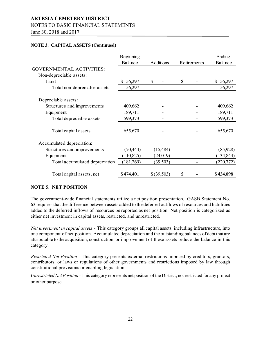### NOTES TO BASIC FINANCIAL STATEMENTS

June 30, 2018 and 2017

### **NOTE 3. CAPITAL ASSETS (Continued)**

|                                 | Beginning      |                  |             | Ending       |
|---------------------------------|----------------|------------------|-------------|--------------|
|                                 | <b>Balance</b> | <b>Additions</b> | Retirements | Balance      |
| <b>GOVERNMENTAL ACTIVITIES:</b> |                |                  |             |              |
| Non-depreciable assets:         |                |                  |             |              |
| Land                            | 56,297         | $\mathbb{S}$     | \$          | \$<br>56,297 |
| Total non-depreciable assets    | 56,297         |                  |             | 56,297       |
| Depreciable assets:             |                |                  |             |              |
| Structures and improvements     | 409,662        |                  |             | 409,662      |
| Equipment                       | 189,711        |                  |             | 189,711      |
| Total depreciable assets        | 599,373        |                  |             | 599,373      |
| Total capital assets            | 655,670        |                  |             | 655,670      |
| Accumulated depreciation:       |                |                  |             |              |
| Structures and improvements     | (70, 444)      | (15, 484)        |             | (85,928)     |
| Equipment                       | (110, 825)     | (24, 019)        |             | (134, 844)   |
| Total accumulated depreciation  | (181,269)      | (39, 503)        |             | (220,772)    |
| Total capital assets, net       | \$474,401      | \$(39,503)       | \$          | \$434,898    |

### **NOTE 5. NET POSITION**

The government-wide financial statements utilize a net position presentation. GASB Statement No. 63 requiresthat the difference between assets added to the deferred outflows of resources and liabilities added to the deferred inflows of resources be reported as net position. Net position is categorized as either net investment in capital assets, restricted, and unrestricted.

*Net investment in capital assets -* This category groups all capital assets, including infrastructure, into one component of net position. Accumulated depreciation and the outstanding balances of debt that are attributable to the acquisition, construction, or improvement of these assets reduce the balance in this category.

*Restricted Net Position* - This category presents external restrictions imposed by creditors, grantors, contributors, or laws or regulations of other governments and restrictions imposed by law through constitutional provisions or enabling legislation.

*Unrestricted Net Position -* This category represents net position of the District, not restricted for any project or other purpose.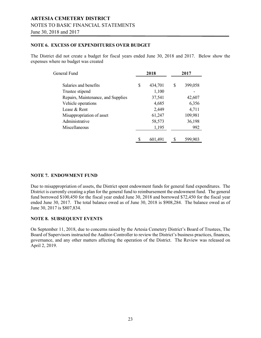# **ARTESIA CEMETERY DISTRICT** NOTES TO BASIC FINANCIAL STATEMENTS June 30, 2018 and 2017

### **NOTE 6. EXCESS OF EXPENDITURES OVER BUDGET**

The District did not create a budget for fiscal years ended June 30, 2018 and 2017. Below show the expenses where no budget was created

| General Fund                       | 2018          |    | 2017    |
|------------------------------------|---------------|----|---------|
| Salaries and benefits              | \$<br>434,701 | \$ | 399,058 |
| Trustee stipend                    | 1,100         |    |         |
| Repairs, Maintenance, and Supplies | 37,541        |    | 42,607  |
| Vehicle operations                 | 4,685         |    | 6,356   |
| Lease & Rent                       | 2,449         |    | 4,711   |
| Misappropriation of asset          | 61,247        |    | 109,981 |
| Administrative                     | 58,573        |    | 36,198  |
| Miscellaneous                      | 1,195         |    | 992     |
|                                    | 601,491       | S  | 599.903 |

### **NOTE 7. ENDOWMENT FUND**

Due to misappropriation of assets, the District spent endowment funds for general fund expenditures. The District is currently creating a plan for the general fund to reimbursement the endowment fund. The general fund borrowed \$100,450 for the fiscal year ended June 30, 2018 and borrowed \$72,450 for the fiscal year ended June 30, 2017. The total balance owed as of June 30, 2018 is \$908,284. The balance owed as of June 30, 2017 is \$807,834.

### **NOTE 8. SUBSEQUENT EVENTS**

On September 11, 2018, due to concerns raised by the Artesia Cemetery District's Board of Trustees, The Board of Supervisors instructed the Auditor-Controller to review the District's business practices, finances, governance, and any other matters affecting the operation of the District. The Review was released on April 2, 2019.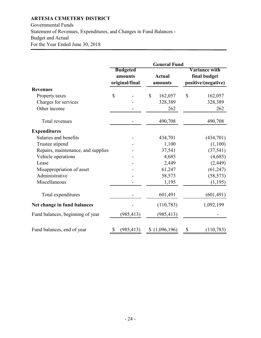Governmental Funds Statement of Revenues, Expenditures, and Changes in Fund Balances - Budget and Actual For the Year Ended June 30, 2018

|                                    | <b>General Fund</b> |                                              |              |                          |    |                                                             |  |
|------------------------------------|---------------------|----------------------------------------------|--------------|--------------------------|----|-------------------------------------------------------------|--|
|                                    |                     | <b>Budgeted</b><br>amounts<br>original/final |              | <b>Actual</b><br>amounts |    | <b>Variance with</b><br>final budget<br>positive/(negative) |  |
| <b>Revenues</b>                    |                     |                                              |              |                          |    |                                                             |  |
| Property taxes                     | $\mathbb{S}$        |                                              | $\mathbb{S}$ | 162,057                  | \$ | 162,057                                                     |  |
| Charges for services               |                     |                                              |              | 328,389                  |    | 328,389                                                     |  |
| Other income                       |                     |                                              |              | 262                      |    | 262                                                         |  |
| Total revenues                     |                     |                                              |              | 490,708                  |    | 490,708                                                     |  |
| <b>Expenditures</b>                |                     |                                              |              |                          |    |                                                             |  |
| Salaries and benefits              |                     |                                              |              | 434,701                  |    | (434,701)                                                   |  |
| Trustee stipend                    |                     |                                              |              | 1,100                    |    | (1,100)                                                     |  |
| Repairs, maintenance, and supplies |                     |                                              |              | 37,541                   |    | (37, 541)                                                   |  |
| Vehicle operations                 |                     |                                              |              | 4,685                    |    | (4,685)                                                     |  |
| Lease                              |                     |                                              |              | 2,449                    |    | (2, 449)                                                    |  |
| Misappropriation of asset          |                     |                                              |              | 61,247                   |    | (61, 247)                                                   |  |
| Administrative                     |                     |                                              |              | 58,573                   |    | (58, 573)                                                   |  |
| Miscellaneous                      |                     |                                              |              | 1,195                    |    | (1,195)                                                     |  |
| Total expenditures                 |                     |                                              |              | 601,491                  |    | (601, 491)                                                  |  |
| Net change in fund balances        |                     |                                              |              | (110, 783)               |    | 1,092,199                                                   |  |
| Fund balances, beginning of year   |                     | (985, 413)                                   |              | (985, 413)               |    |                                                             |  |
| Fund balances, end of year         | \$                  | (985, 413)                                   |              | (1,096,196)              | \$ | (110, 783)                                                  |  |